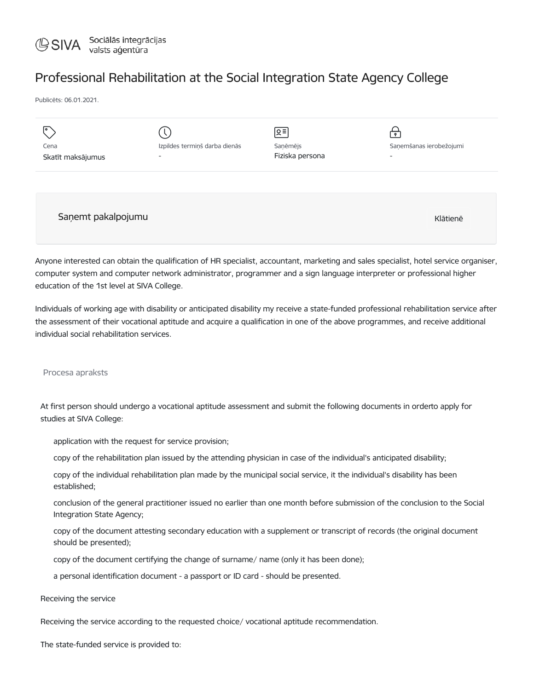

## Professional Rehabilitation at the Social Integration State Agency College

Publicēts: 06.01.2021.

| Cena<br>Skatīt maksājumus | Izpildes termiņš darba dienās<br>$\overline{\phantom{0}}$ | 으 티<br>Saņēmējs<br>Fiziska persona | $\mathbf{P}$<br>Saņemšanas ierobežojumi<br>$\overline{\phantom{0}}$ |
|---------------------------|-----------------------------------------------------------|------------------------------------|---------------------------------------------------------------------|
| Saņemt pakalpojumu        |                                                           |                                    | Klātienē                                                            |

Anyone interested can obtain the qualification of HR specialist, accountant, marketing and sales specialist, hotel service organiser, computer system and computer network administrator, programmer and a sign language interpreter or professional higher education of the 1st level at SIVA College.

Individuals of working age with disability or anticipated disability my receive a state-funded professional rehabilitation service after the assessment of their vocational aptitude and acquire a qualification in one of the above programmes, and receive additional individual social rehabilitation services.

## Procesa apraksts

At first person should undergo a vocational aptitude assessment and submit the following documents in orderto apply for studies at SIVA College:

application with the request for service provision;

copy of the rehabilitation plan issued by the attending physician in case of the individual's anticipated disability;

copy of the individual rehabilitation plan made by the municipal social service, it the individual's disability has been established;

conclusion of the general practitioner issued no earlier than one month before submission of the conclusion to the Social Integration State Agency;

copy of the document attesting secondary education with a supplement or transcript of records (the original document should be presented);

copy of the document certifying the change of surname/ name (only it has been done);

a personal identification document - a passport or ID card - should be presented.

Receiving the service

Receiving the service according to the requested choice/ vocational aptitude recommendation.

The state-funded service is provided to: